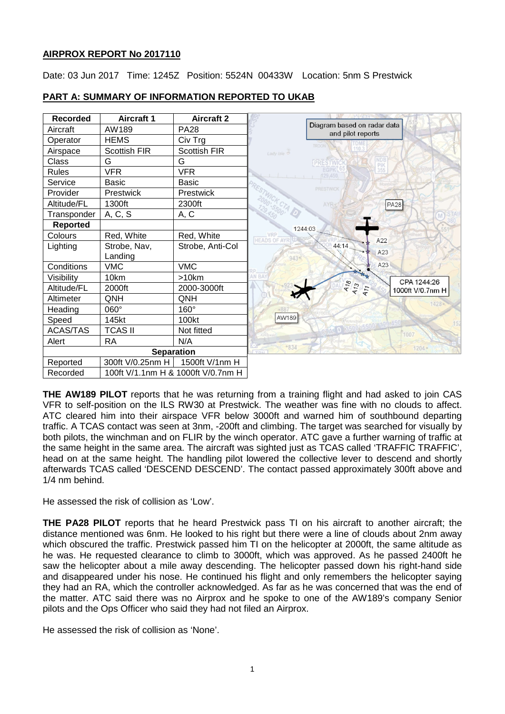# **AIRPROX REPORT No 2017110**

Date: 03 Jun 2017 Time: 1245Z Position: 5524N 00433W Location: 5nm S Prestwick



# **PART A: SUMMARY OF INFORMATION REPORTED TO UKAB**

**THE AW189 PILOT** reports that he was returning from a training flight and had asked to join CAS VFR to self-position on the ILS RW30 at Prestwick. The weather was fine with no clouds to affect. ATC cleared him into their airspace VFR below 3000ft and warned him of southbound departing traffic. A TCAS contact was seen at 3nm, -200ft and climbing. The target was searched for visually by both pilots, the winchman and on FLIR by the winch operator. ATC gave a further warning of traffic at the same height in the same area. The aircraft was sighted just as TCAS called 'TRAFFIC TRAFFIC', head on at the same height. The handling pilot lowered the collective lever to descend and shortly afterwards TCAS called 'DESCEND DESCEND'. The contact passed approximately 300ft above and 1/4 nm behind.

He assessed the risk of collision as 'Low'.

**THE PA28 PILOT** reports that he heard Prestwick pass TI on his aircraft to another aircraft; the distance mentioned was 6nm. He looked to his right but there were a line of clouds about 2nm away which obscured the traffic. Prestwick passed him TI on the helicopter at 2000ft, the same altitude as he was. He requested clearance to climb to 3000ft, which was approved. As he passed 2400ft he saw the helicopter about a mile away descending. The helicopter passed down his right-hand side and disappeared under his nose. He continued his flight and only remembers the helicopter saying they had an RA, which the controller acknowledged. As far as he was concerned that was the end of the matter. ATC said there was no Airprox and he spoke to one of the AW189's company Senior pilots and the Ops Officer who said they had not filed an Airprox.

He assessed the risk of collision as 'None'.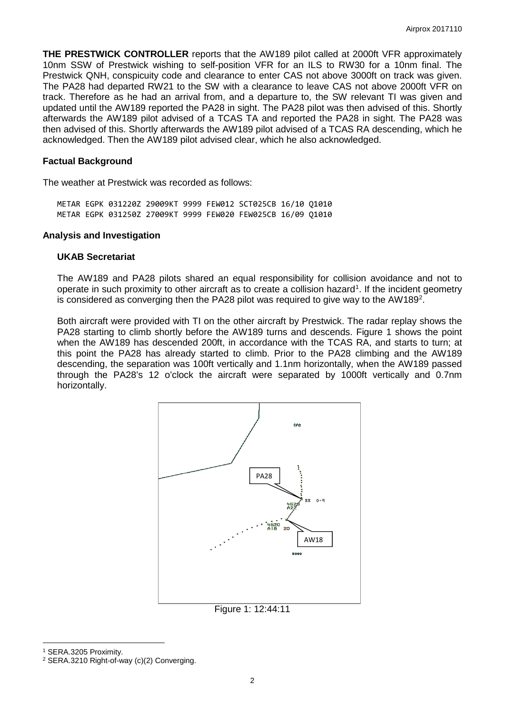**THE PRESTWICK CONTROLLER** reports that the AW189 pilot called at 2000ft VFR approximately 10nm SSW of Prestwick wishing to self-position VFR for an ILS to RW30 for a 10nm final. The Prestwick QNH, conspicuity code and clearance to enter CAS not above 3000ft on track was given. The PA28 had departed RW21 to the SW with a clearance to leave CAS not above 2000ft VFR on track. Therefore as he had an arrival from, and a departure to, the SW relevant TI was given and updated until the AW189 reported the PA28 in sight. The PA28 pilot was then advised of this. Shortly afterwards the AW189 pilot advised of a TCAS TA and reported the PA28 in sight. The PA28 was then advised of this. Shortly afterwards the AW189 pilot advised of a TCAS RA descending, which he acknowledged. Then the AW189 pilot advised clear, which he also acknowledged.

#### **Factual Background**

The weather at Prestwick was recorded as follows:

METAR EGPK 031220Z 29009KT 9999 FEW012 SCT025CB 16/10 Q1010 METAR EGPK 031250Z 27009KT 9999 FEW020 FEW025CB 16/09 Q1010

#### **Analysis and Investigation**

#### **UKAB Secretariat**

The AW189 and PA28 pilots shared an equal responsibility for collision avoidance and not to operate in such proximity to other aircraft as to create a collision hazard<sup>[1](#page-1-0)</sup>. If the incident geometry is considered as converging then the PA[2](#page-1-1)8 pilot was required to give way to the AW189<sup>2</sup>.

Both aircraft were provided with TI on the other aircraft by Prestwick. The radar replay shows the PA28 starting to climb shortly before the AW189 turns and descends. Figure 1 shows the point when the AW189 has descended 200ft, in accordance with the TCAS RA, and starts to turn; at this point the PA28 has already started to climb. Prior to the PA28 climbing and the AW189 descending, the separation was 100ft vertically and 1.1nm horizontally, when the AW189 passed through the PA28's 12 o'clock the aircraft were separated by 1000ft vertically and 0.7nm horizontally.



Figure 1: 12:44:11

l

<span id="page-1-0"></span><sup>1</sup> SERA.3205 Proximity.

<span id="page-1-1"></span><sup>2</sup> SERA.3210 Right-of-way (c)(2) Converging.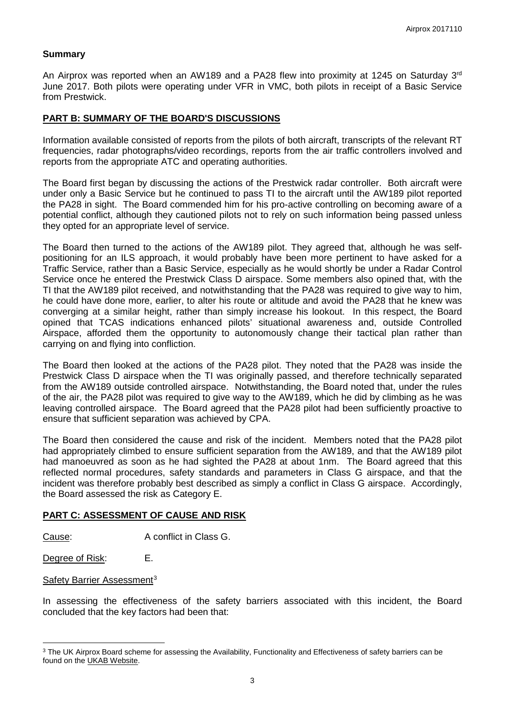### **Summary**

An Airprox was reported when an AW189 and a PA28 flew into proximity at 1245 on Saturday 3 $^{rd}$ June 2017. Both pilots were operating under VFR in VMC, both pilots in receipt of a Basic Service from Prestwick.

### **PART B: SUMMARY OF THE BOARD'S DISCUSSIONS**

Information available consisted of reports from the pilots of both aircraft, transcripts of the relevant RT frequencies, radar photographs/video recordings, reports from the air traffic controllers involved and reports from the appropriate ATC and operating authorities.

The Board first began by discussing the actions of the Prestwick radar controller. Both aircraft were under only a Basic Service but he continued to pass TI to the aircraft until the AW189 pilot reported the PA28 in sight. The Board commended him for his pro-active controlling on becoming aware of a potential conflict, although they cautioned pilots not to rely on such information being passed unless they opted for an appropriate level of service.

The Board then turned to the actions of the AW189 pilot. They agreed that, although he was selfpositioning for an ILS approach, it would probably have been more pertinent to have asked for a Traffic Service, rather than a Basic Service, especially as he would shortly be under a Radar Control Service once he entered the Prestwick Class D airspace. Some members also opined that, with the TI that the AW189 pilot received, and notwithstanding that the PA28 was required to give way to him, he could have done more, earlier, to alter his route or altitude and avoid the PA28 that he knew was converging at a similar height, rather than simply increase his lookout. In this respect, the Board opined that TCAS indications enhanced pilots' situational awareness and, outside Controlled Airspace, afforded them the opportunity to autonomously change their tactical plan rather than carrying on and flying into confliction.

The Board then looked at the actions of the PA28 pilot. They noted that the PA28 was inside the Prestwick Class D airspace when the TI was originally passed, and therefore technically separated from the AW189 outside controlled airspace. Notwithstanding, the Board noted that, under the rules of the air, the PA28 pilot was required to give way to the AW189, which he did by climbing as he was leaving controlled airspace. The Board agreed that the PA28 pilot had been sufficiently proactive to ensure that sufficient separation was achieved by CPA.

The Board then considered the cause and risk of the incident. Members noted that the PA28 pilot had appropriately climbed to ensure sufficient separation from the AW189, and that the AW189 pilot had manoeuvred as soon as he had sighted the PA28 at about 1nm. The Board agreed that this reflected normal procedures, safety standards and parameters in Class G airspace, and that the incident was therefore probably best described as simply a conflict in Class G airspace. Accordingly, the Board assessed the risk as Category E.

### **PART C: ASSESSMENT OF CAUSE AND RISK**

Cause: A conflict in Class G.

Degree of Risk: E.

l

Safety Barrier Assessment<sup>[3](#page-2-0)</sup>

In assessing the effectiveness of the safety barriers associated with this incident, the Board concluded that the key factors had been that:

<span id="page-2-0"></span><sup>&</sup>lt;sup>3</sup> The UK Airprox Board scheme for assessing the Availability, Functionality and Effectiveness of safety barriers can be found on the [UKAB Website.](http://www.airproxboard.org.uk/Learn-more/Airprox-Barrier-Assessment/)